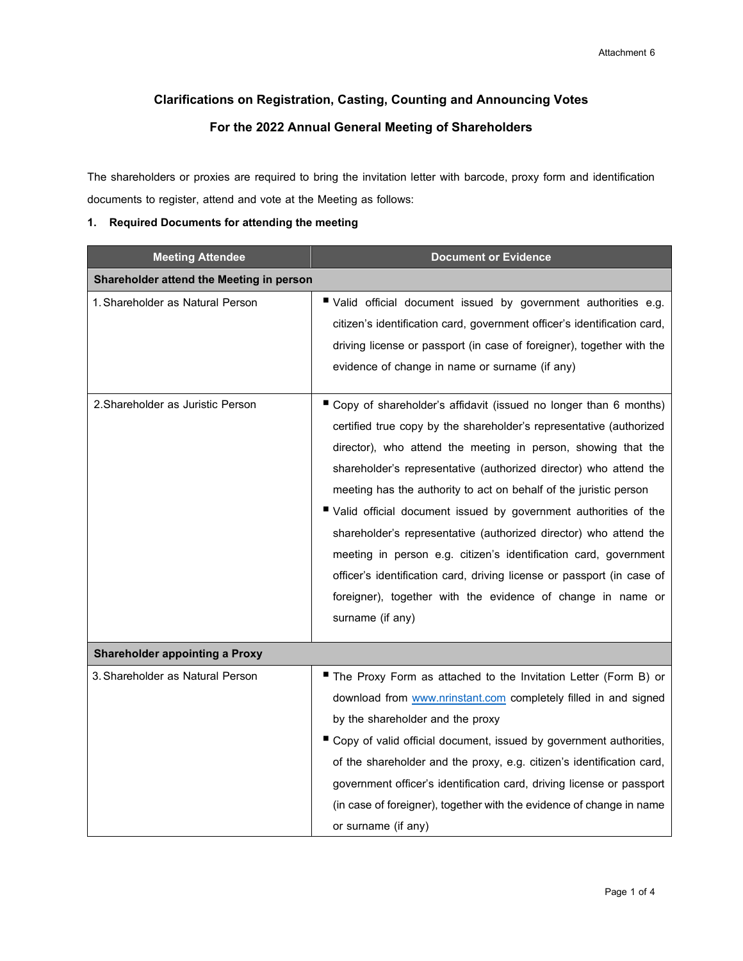# **Clarifications on Registration, Casting, Countingand Announcing Votes For the 2022 Annual General Meeting of Shareholders**

The shareholders or proxies are required to bring the invitation letter with barcode, proxy form and identification documents to register, attend and vote at the Meeting as follows:

# **1. Required Documents for attending the meeting**

| <b>Meeting Attendee</b>                  | <b>Document or Evidence</b>                                                                                                                                                                                                                                                                                                                                                                                                                                                                                                                                                                                                                                                                                                     |  |
|------------------------------------------|---------------------------------------------------------------------------------------------------------------------------------------------------------------------------------------------------------------------------------------------------------------------------------------------------------------------------------------------------------------------------------------------------------------------------------------------------------------------------------------------------------------------------------------------------------------------------------------------------------------------------------------------------------------------------------------------------------------------------------|--|
| Shareholder attend the Meeting in person |                                                                                                                                                                                                                                                                                                                                                                                                                                                                                                                                                                                                                                                                                                                                 |  |
| 1. Shareholder as Natural Person         | ■ Valid official document issued by government authorities e.g.<br>citizen's identification card, government officer's identification card,<br>driving license or passport (in case of foreigner), together with the<br>evidence of change in name or surname (if any)                                                                                                                                                                                                                                                                                                                                                                                                                                                          |  |
| 2. Shareholder as Juristic Person        | ■ Copy of shareholder's affidavit (issued no longer than 6 months)<br>certified true copy by the shareholder's representative (authorized<br>director), who attend the meeting in person, showing that the<br>shareholder's representative (authorized director) who attend the<br>meeting has the authority to act on behalf of the juristic person<br>■ Valid official document issued by government authorities of the<br>shareholder's representative (authorized director) who attend the<br>meeting in person e.g. citizen's identification card, government<br>officer's identification card, driving license or passport (in case of<br>foreigner), together with the evidence of change in name or<br>surname (if any) |  |
| <b>Shareholder appointing a Proxy</b>    |                                                                                                                                                                                                                                                                                                                                                                                                                                                                                                                                                                                                                                                                                                                                 |  |
| 3. Shareholder as Natural Person         | The Proxy Form as attached to the Invitation Letter (Form B) or<br>download from www.nrinstant.com completely filled in and signed<br>by the shareholder and the proxy<br>Copy of valid official document, issued by government authorities,<br>of the shareholder and the proxy, e.g. citizen's identification card,<br>government officer's identification card, driving license or passport<br>(in case of foreigner), together with the evidence of change in name<br>or surname (if any)                                                                                                                                                                                                                                   |  |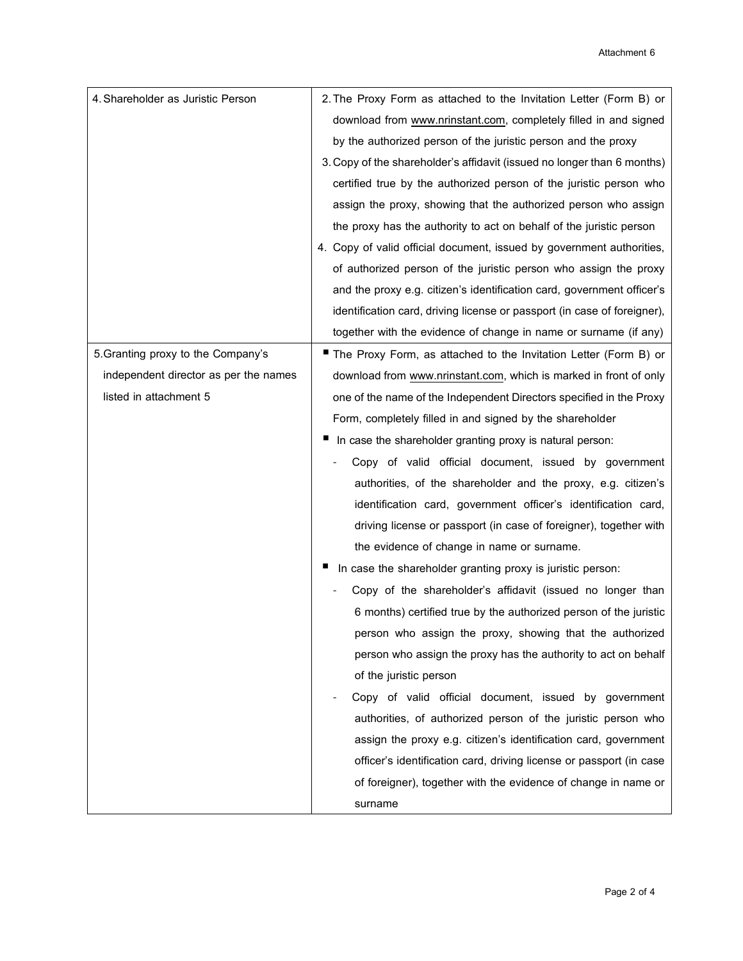| 4. Shareholder as Juristic Person     | 2. The Proxy Form as attached to the Invitation Letter (Form B) or       |
|---------------------------------------|--------------------------------------------------------------------------|
|                                       | download from www.nrinstant.com, completely filled in and signed         |
|                                       | by the authorized person of the juristic person and the proxy            |
|                                       | 3. Copy of the shareholder's affidavit (issued no longer than 6 months)  |
|                                       | certified true by the authorized person of the juristic person who       |
|                                       | assign the proxy, showing that the authorized person who assign          |
|                                       | the proxy has the authority to act on behalf of the juristic person      |
|                                       | 4. Copy of valid official document, issued by government authorities,    |
|                                       | of authorized person of the juristic person who assign the proxy         |
|                                       | and the proxy e.g. citizen's identification card, government officer's   |
|                                       | identification card, driving license or passport (in case of foreigner), |
|                                       | together with the evidence of change in name or surname (if any)         |
| 5. Granting proxy to the Company's    | The Proxy Form, as attached to the Invitation Letter (Form B) or         |
| independent director as per the names | download from www.nrinstant.com, which is marked in front of only        |
| listed in attachment 5                | one of the name of the Independent Directors specified in the Proxy      |
|                                       | Form, completely filled in and signed by the shareholder                 |
|                                       | In case the shareholder granting proxy is natural person:                |
|                                       | Copy of valid official document, issued by government                    |
|                                       | authorities, of the shareholder and the proxy, e.g. citizen's            |
|                                       | identification card, government officer's identification card,           |
|                                       | driving license or passport (in case of foreigner), together with        |
|                                       | the evidence of change in name or surname.                               |
|                                       | In case the shareholder granting proxy is juristic person:               |
|                                       | Copy of the shareholder's affidavit (issued no longer than               |
|                                       | 6 months) certified true by the authorized person of the juristic        |
|                                       | person who assign the proxy, showing that the authorized                 |
|                                       | person who assign the proxy has the authority to act on behalf           |
|                                       | of the juristic person                                                   |
|                                       | Copy of valid official document, issued by government                    |
|                                       | authorities, of authorized person of the juristic person who             |
|                                       | assign the proxy e.g. citizen's identification card, government          |
|                                       | officer's identification card, driving license or passport (in case      |
|                                       | of foreigner), together with the evidence of change in name or           |
|                                       | surname                                                                  |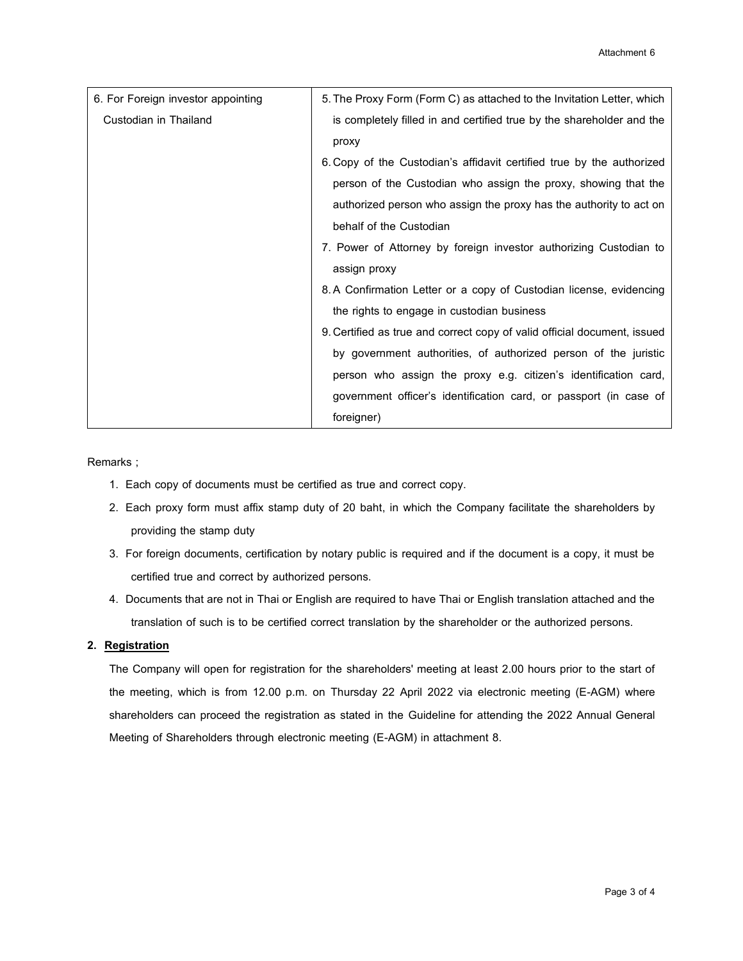| 6. For Foreign investor appointing | 5. The Proxy Form (Form C) as attached to the Invitation Letter, which   |
|------------------------------------|--------------------------------------------------------------------------|
| Custodian in Thailand              | is completely filled in and certified true by the shareholder and the    |
|                                    | proxy                                                                    |
|                                    | 6. Copy of the Custodian's affidavit certified true by the authorized    |
|                                    | person of the Custodian who assign the proxy, showing that the           |
|                                    | authorized person who assign the proxy has the authority to act on       |
|                                    | behalf of the Custodian                                                  |
|                                    | 7. Power of Attorney by foreign investor authorizing Custodian to        |
|                                    | assign proxy                                                             |
|                                    | 8. A Confirmation Letter or a copy of Custodian license, evidencing      |
|                                    | the rights to engage in custodian business                               |
|                                    | 9. Certified as true and correct copy of valid official document, issued |
|                                    | by government authorities, of authorized person of the juristic          |
|                                    | person who assign the proxy e.g. citizen's identification card,          |
|                                    | government officer's identification card, or passport (in case of        |
|                                    | foreigner)                                                               |

## Remarks ;

- 1. Each copy of documents must be certified as true and correct copy.
- 2. Each proxy form must affix stamp duty of 20 baht, in which the Company facilitate the shareholders by providing the stamp duty
- 3. For foreign documents, certification by notary public is required and if the document is a copy, it must be certified true and correct by authorized persons.
- 4. Documents that are not in Thai or English are required to have Thai or English translation attached and the translation of such is to be certified correct translation by the shareholder or the authorized persons.

#### **2. Registration**

The Company will open for registration for the shareholders' meeting at least 2.00 hours prior to the start of the meeting, which is from 12.00 p.m. on Thursday 22 April 2022 via electronic meeting (E-AGM) where shareholders can proceed the registration as stated in the Guideline for attending the 2022 Annual General Meeting of Shareholders through electronic meeting (E-AGM) in attachment 8.